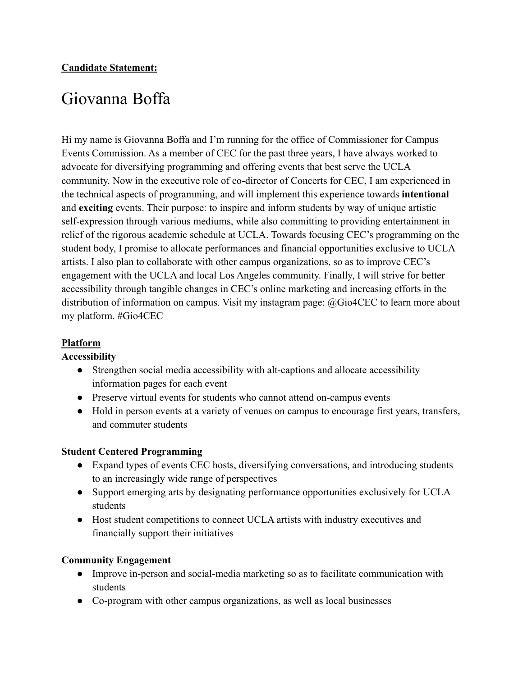# Giovanna Boffa

Hi my name is Giovanna Boffa and I'm running for the office of Commissioner for Campus Events Commission. As a member of CEC for the past three years, I have always worked to advocate for diversifying programming and offering events that best serve the UCLA community. Now in the executive role of co-director of Concerts for CEC, I am experienced in the technical aspects of programming, and will implement this experience towards **intentional** and **exciting** events. Their purpose: to inspire and inform students by way of unique artistic self-expression through various mediums, while also committing to providing entertainment in relief of the rigorous academic schedule at UCLA. Towards focusing CEC's programming on the student body, I promise to allocate performances and financial opportunities exclusive to UCLA artists. I also plan to collaborate with other campus organizations, so as to improve CEC's engagement with the UCLA and local Los Angeles community. Finally, I will strive for better accessibility through tangible changes in CEC's online marketing and increasing efforts in the distribution of information on campus. Visit my instagram page: @Gio4CEC to learn more about my platform. #Gio4CEC

## **Platform**

### **Accessibility**

- Strengthen social media accessibility with alt-captions and allocate accessibility information pages for each event
- Preserve virtual events for students who cannot attend on-campus events
- Hold in person events at a variety of venues on campus to encourage first years, transfers, and commuter students

### **Student Centered Programming**

- Expand types of events CEC hosts, diversifying conversations, and introducing students to an increasingly wide range of perspectives
- Support emerging arts by designating performance opportunities exclusively for UCLA students
- Host student competitions to connect UCLA artists with industry executives and financially support their initiatives

### **Community Engagement**

- Improve in-person and social-media marketing so as to facilitate communication with students
- Co-program with other campus organizations, as well as local businesses